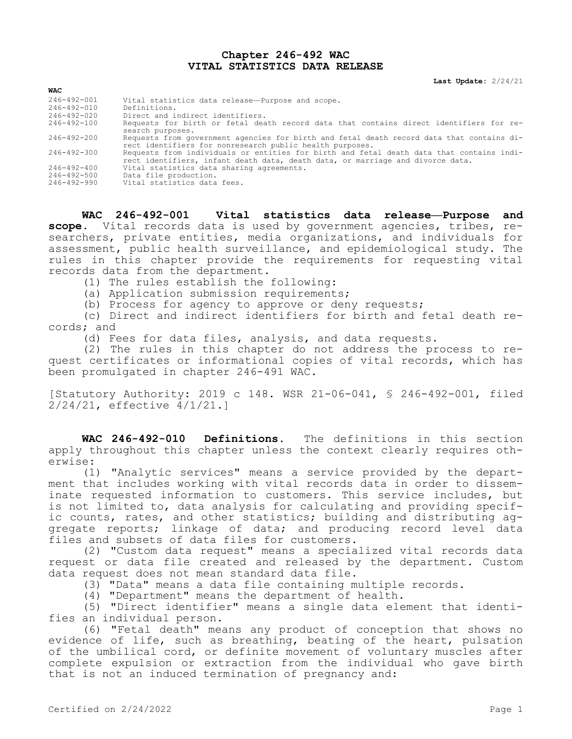## **Chapter 246-492 WAC VITAL STATISTICS DATA RELEASE**

**Last Update:** 2/24/21

| <b>WAC</b>        |                                                                                                                                                                            |
|-------------------|----------------------------------------------------------------------------------------------------------------------------------------------------------------------------|
| 246-492-001       | Vital statistics data release-Purpose and scope.                                                                                                                           |
| 246-492-010       | Definitions.                                                                                                                                                               |
| $246 - 492 - 020$ | Direct and indirect identifiers.                                                                                                                                           |
| 246-492-100       | Requests for birth or fetal death record data that contains direct identifiers for re-<br>search purposes.                                                                 |
| $246 - 492 - 200$ | Requests from government agencies for birth and fetal death record data that contains di-<br>rect identifiers for nonresearch public health purposes.                      |
| 246-492-300       | Requests from individuals or entities for birth and fetal death data that contains indi-<br>rect identifiers, infant death data, death data, or marriage and divorce data. |
| $246 - 492 - 400$ | Vital statistics data sharing agreements.                                                                                                                                  |
| 246-492-500       | Data file production.                                                                                                                                                      |
| 246-492-990       | Vital statistics data fees.                                                                                                                                                |

**WAC 246-492-001 Vital statistics data release—Purpose and scope.** Vital records data is used by government agencies, tribes, researchers, private entities, media organizations, and individuals for assessment, public health surveillance, and epidemiological study. The rules in this chapter provide the requirements for requesting vital records data from the department.

(1) The rules establish the following:

(a) Application submission requirements;

(b) Process for agency to approve or deny requests;

(c) Direct and indirect identifiers for birth and fetal death records; and

(d) Fees for data files, analysis, and data requests.

(2) The rules in this chapter do not address the process to request certificates or informational copies of vital records, which has been promulgated in chapter 246-491 WAC.

[Statutory Authority: 2019 c 148. WSR 21-06-041, § 246-492-001, filed 2/24/21, effective 4/1/21.]

**WAC 246-492-010 Definitions.** The definitions in this section apply throughout this chapter unless the context clearly requires otherwise:

(1) "Analytic services" means a service provided by the department that includes working with vital records data in order to disseminate requested information to customers. This service includes, but is not limited to, data analysis for calculating and providing specific counts, rates, and other statistics; building and distributing aggregate reports; linkage of data; and producing record level data files and subsets of data files for customers.

(2) "Custom data request" means a specialized vital records data request or data file created and released by the department. Custom data request does not mean standard data file.

(3) "Data" means a data file containing multiple records.

(4) "Department" means the department of health.

(5) "Direct identifier" means a single data element that identifies an individual person.

(6) "Fetal death" means any product of conception that shows no evidence of life, such as breathing, beating of the heart, pulsation of the umbilical cord, or definite movement of voluntary muscles after complete expulsion or extraction from the individual who gave birth that is not an induced termination of pregnancy and: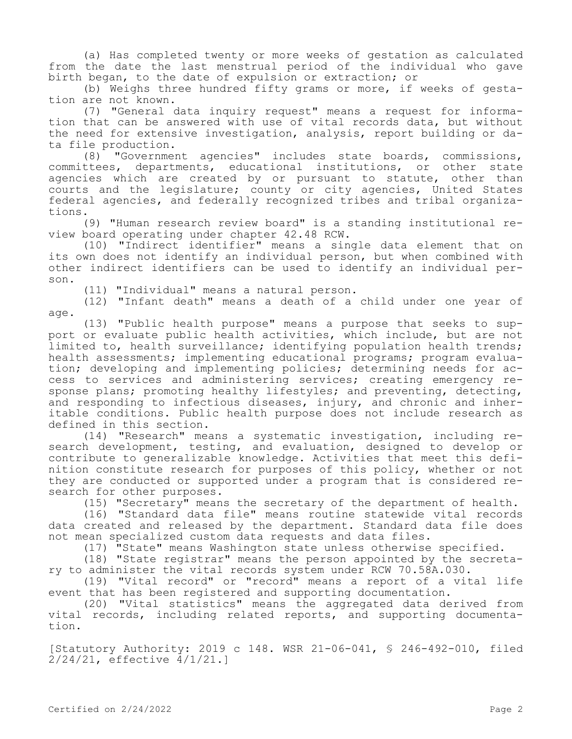(a) Has completed twenty or more weeks of gestation as calculated from the date the last menstrual period of the individual who gave birth began, to the date of expulsion or extraction; or

(b) Weighs three hundred fifty grams or more, if weeks of gestation are not known.

(7) "General data inquiry request" means a request for information that can be answered with use of vital records data, but without the need for extensive investigation, analysis, report building or data file production.

(8) "Government agencies" includes state boards, commissions, committees, departments, educational institutions, or other state agencies which are created by or pursuant to statute, other than courts and the legislature; county or city agencies, United States federal agencies, and federally recognized tribes and tribal organizations.

(9) "Human research review board" is a standing institutional review board operating under chapter 42.48 RCW.

(10) "Indirect identifier" means a single data element that on its own does not identify an individual person, but when combined with other indirect identifiers can be used to identify an individual person.

(11) "Individual" means a natural person.

(12) "Infant death" means a death of a child under one year of age.

(13) "Public health purpose" means a purpose that seeks to support or evaluate public health activities, which include, but are not limited to, health surveillance; identifying population health trends; health assessments; implementing educational programs; program evaluation; developing and implementing policies; determining needs for access to services and administering services; creating emergency response plans; promoting healthy lifestyles; and preventing, detecting, and responding to infectious diseases, injury, and chronic and inheritable conditions. Public health purpose does not include research as defined in this section.

(14) "Research" means a systematic investigation, including research development, testing, and evaluation, designed to develop or contribute to generalizable knowledge. Activities that meet this definition constitute research for purposes of this policy, whether or not they are conducted or supported under a program that is considered research for other purposes.

(15) "Secretary" means the secretary of the department of health.

(16) "Standard data file" means routine statewide vital records data created and released by the department. Standard data file does not mean specialized custom data requests and data files.

(17) "State" means Washington state unless otherwise specified.

(18) "State registrar" means the person appointed by the secretary to administer the vital records system under RCW 70.58A.030.

(19) "Vital record" or "record" means a report of a vital life event that has been registered and supporting documentation.

(20) "Vital statistics" means the aggregated data derived from vital records, including related reports, and supporting documentation.

[Statutory Authority: 2019 c 148. WSR 21-06-041, § 246-492-010, filed 2/24/21, effective 4/1/21.]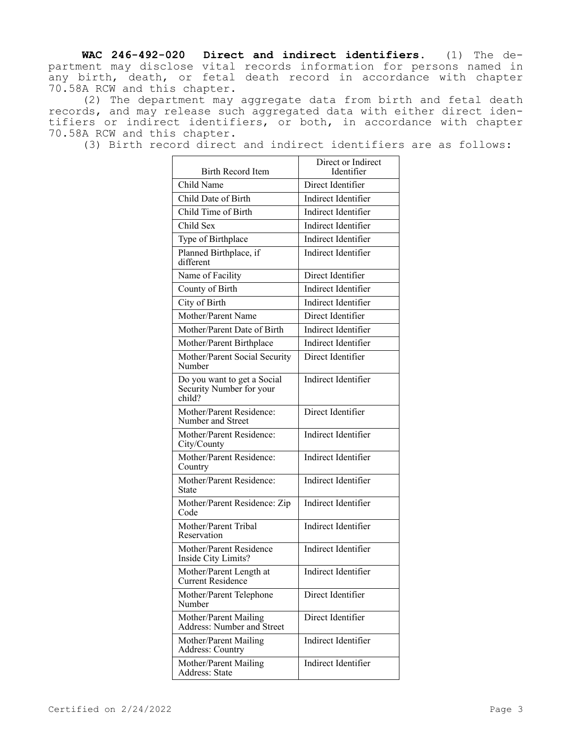**WAC 246-492-020 Direct and indirect identifiers.** (1) The department may disclose vital records information for persons named in any birth, death, or fetal death record in accordance with chapter 70.58A RCW and this chapter.

(2) The department may aggregate data from birth and fetal death records, and may release such aggregated data with either direct identifiers or indirect identifiers, or both, in accordance with chapter 70.58A RCW and this chapter.

(3) Birth record direct and indirect identifiers are as follows:

| Birth Record Item                                                 | Direct or Indirect<br>Identifier |
|-------------------------------------------------------------------|----------------------------------|
| Child Name                                                        | Direct Identifier                |
| Child Date of Birth                                               | <b>Indirect Identifier</b>       |
| Child Time of Birth                                               | Indirect Identifier              |
| Child Sex                                                         | Indirect Identifier              |
| Type of Birthplace                                                | Indirect Identifier              |
| Planned Birthplace, if<br>different                               | Indirect Identifier              |
| Name of Facility                                                  | Direct Identifier                |
| County of Birth                                                   | Indirect Identifier              |
| City of Birth                                                     | Indirect Identifier              |
| Mother/Parent Name                                                | Direct Identifier                |
| Mother/Parent Date of Birth                                       | Indirect Identifier              |
| Mother/Parent Birthplace                                          | Indirect Identifier              |
| Mother/Parent Social Security<br>Number                           | Direct Identifier                |
| Do you want to get a Social<br>Security Number for your<br>child? | Indirect Identifier              |
| Mother/Parent Residence:<br>Number and Street                     | Direct Identifier                |
| Mother/Parent Residence:<br>City/County                           | Indirect Identifier              |
| Mother/Parent Residence:<br>Country                               | Indirect Identifier              |
| Mother/Parent Residence:<br>State                                 | Indirect Identifier              |
| Mother/Parent Residence: Zip<br>Code                              | Indirect Identifier              |
| Mother/Parent Tribal<br>Reservation                               | Indirect Identifier              |
| Mother/Parent Residence<br>Inside City Limits?                    | Indirect Identifier              |
| Mother/Parent Length at<br><b>Current Residence</b>               | Indirect Identifier              |
| Mother/Parent Telephone<br>Number                                 | Direct Identifier                |
| Mother/Parent Mailing<br>Address: Number and Street               | Direct Identifier                |
| Mother/Parent Mailing<br>Address: Country                         | Indirect Identifier              |
| Mother/Parent Mailing<br>Address: State                           | Indirect Identifier              |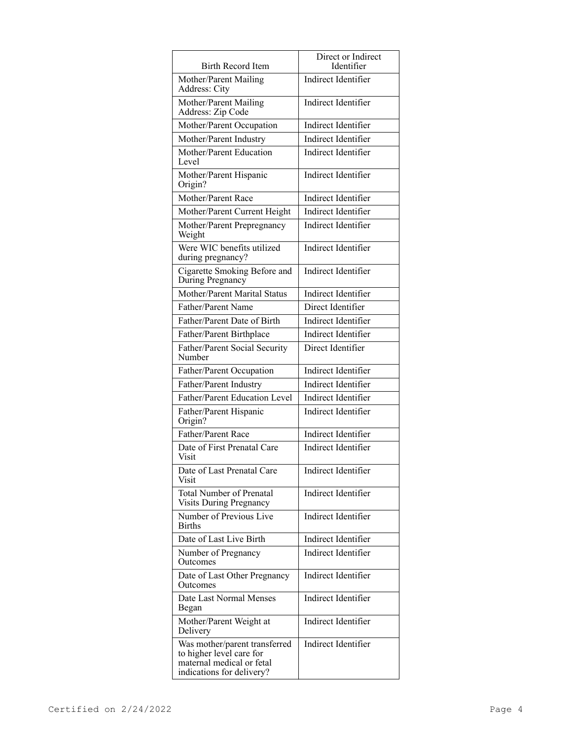| <b>Birth Record Item</b>                                                                                            | Direct or Indirect<br>Identifier |
|---------------------------------------------------------------------------------------------------------------------|----------------------------------|
| Mother/Parent Mailing<br>Address: City                                                                              | Indirect Identifier              |
| Mother/Parent Mailing<br>Address: Zip Code                                                                          | Indirect Identifier              |
| Mother/Parent Occupation                                                                                            | Indirect Identifier              |
| Mother/Parent Industry                                                                                              | Indirect Identifier              |
| Mother/Parent Education<br>Level                                                                                    | <b>Indirect Identifier</b>       |
| Mother/Parent Hispanic<br>Origin?                                                                                   | Indirect Identifier              |
| Mother/Parent Race                                                                                                  | Indirect Identifier              |
| Mother/Parent Current Height                                                                                        | Indirect Identifier              |
| Mother/Parent Prepregnancy<br>Weight                                                                                | Indirect Identifier              |
| Were WIC benefits utilized<br>during pregnancy?                                                                     | Indirect Identifier              |
| Cigarette Smoking Before and<br>During Pregnancy                                                                    | Indirect Identifier              |
| Mother/Parent Marital Status                                                                                        | <b>Indirect Identifier</b>       |
| Father/Parent Name                                                                                                  | Direct Identifier                |
| Father/Parent Date of Birth                                                                                         | Indirect Identifier              |
| Father/Parent Birthplace                                                                                            | Indirect Identifier              |
| Father/Parent Social Security<br>Number                                                                             | Direct Identifier                |
| Father/Parent Occupation                                                                                            | Indirect Identifier              |
| Father/Parent Industry                                                                                              | Indirect Identifier              |
| Father/Parent Education Level                                                                                       | Indirect Identifier              |
| Father/Parent Hispanic<br>Origin?                                                                                   | Indirect Identifier              |
| Father/Parent Race                                                                                                  | Indirect Identifier              |
| Date of First Prenatal Care<br>Visit                                                                                | Indirect Identifier              |
| Date of Last Prenatal Care<br>Visit                                                                                 | Indirect Identifier              |
| <b>Total Number of Prenatal</b><br><b>Visits During Pregnancy</b>                                                   | Indirect Identifier              |
| Number of Previous Live<br><b>Births</b>                                                                            | Indirect Identifier              |
| Date of Last Live Birth                                                                                             | Indirect Identifier              |
| Number of Pregnancy<br>Outcomes                                                                                     | Indirect Identifier              |
| Date of Last Other Pregnancy<br>Outcomes                                                                            | Indirect Identifier              |
| Date Last Normal Menses<br>Began                                                                                    | Indirect Identifier              |
| Mother/Parent Weight at<br>Delivery                                                                                 | Indirect Identifier              |
| Was mother/parent transferred<br>to higher level care for<br>maternal medical or fetal<br>indications for delivery? | Indirect Identifier              |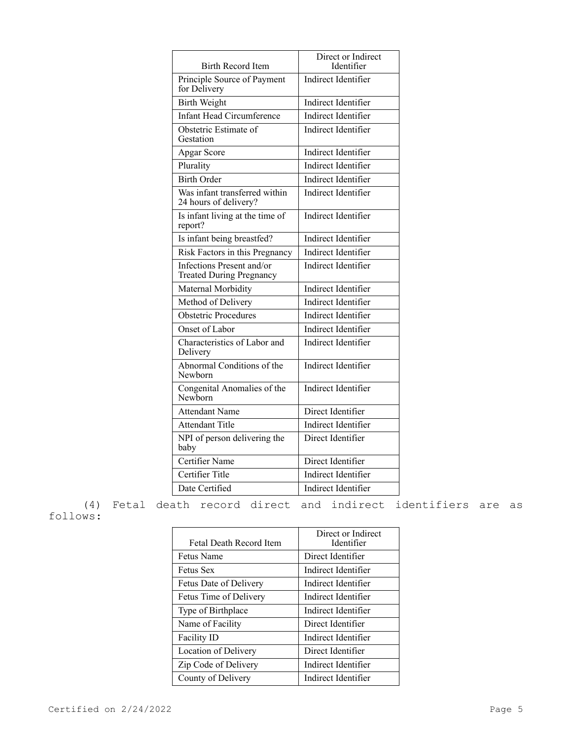| <b>Birth Record Item</b>                                     | Direct or Indirect<br>Identifier |
|--------------------------------------------------------------|----------------------------------|
| Principle Source of Payment<br>for Delivery                  | Indirect Identifier              |
| <b>Birth Weight</b>                                          | Indirect Identifier              |
| <b>Infant Head Circumference</b>                             | <b>Indirect Identifier</b>       |
| Obstetric Estimate of<br>Gestation                           | Indirect Identifier              |
| Apgar Score                                                  | Indirect Identifier              |
| Plurality                                                    | Indirect Identifier              |
| <b>Birth Order</b>                                           | Indirect Identifier              |
| Was infant transferred within<br>24 hours of delivery?       | <b>Indirect Identifier</b>       |
| Is infant living at the time of<br>report?                   | Indirect Identifier              |
| Is infant being breastfed?                                   | Indirect Identifier              |
| Risk Factors in this Pregnancy                               | Indirect Identifier              |
| Infections Present and/or<br><b>Treated During Pregnancy</b> | Indirect Identifier              |
| Maternal Morbidity                                           | Indirect Identifier              |
| Method of Delivery                                           | Indirect Identifier              |
| <b>Obstetric Procedures</b>                                  | Indirect Identifier              |
| Onset of Labor                                               | Indirect Identifier              |
| Characteristics of Labor and<br>Delivery                     | Indirect Identifier              |
| Abnormal Conditions of the<br>Newborn                        | Indirect Identifier              |
| Congenital Anomalies of the<br>Newborn                       | Indirect Identifier              |
| <b>Attendant Name</b>                                        | Direct Identifier                |
| <b>Attendant Title</b>                                       | Indirect Identifier              |
| NPI of person delivering the<br>baby                         | Direct Identifier                |
| Certifier Name                                               | Direct Identifier                |
| Certifier Title                                              | Indirect Identifier              |
| Date Certified                                               | Indirect Identifier              |

(4) Fetal death record direct and indirect identifiers are as follows:

| <b>Fetal Death Record Item</b> | Direct or Indirect<br>Identifier |
|--------------------------------|----------------------------------|
| Fetus Name                     | Direct Identifier                |
| <b>Fetus Sex</b>               | Indirect Identifier              |
| Fetus Date of Delivery         | Indirect Identifier              |
| Fetus Time of Delivery         | Indirect Identifier              |
| Type of Birthplace             | Indirect Identifier              |
| Name of Facility               | Direct Identifier                |
| <b>Facility ID</b>             | Indirect Identifier              |
| Location of Delivery           | Direct Identifier                |
| Zip Code of Delivery           | Indirect Identifier              |
| County of Delivery             | Indirect Identifier              |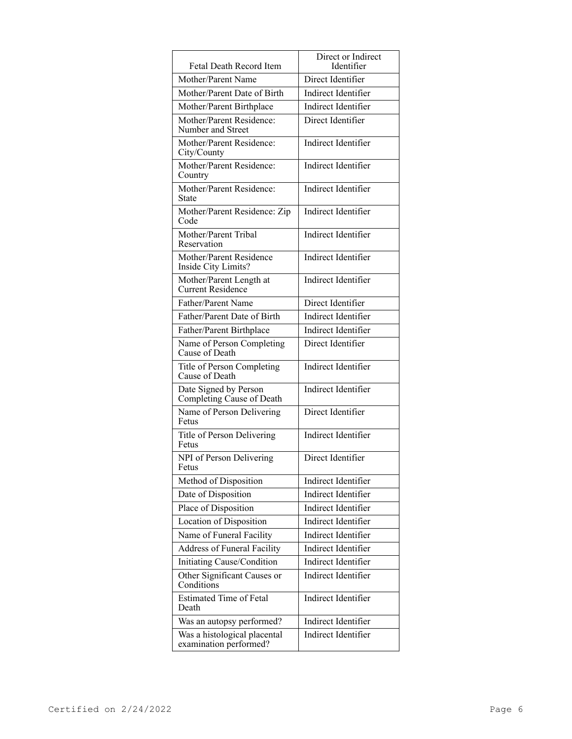|                                                        | Direct or Indirect  |
|--------------------------------------------------------|---------------------|
| Fetal Death Record Item                                | Identifier          |
| Mother/Parent Name                                     | Direct Identifier   |
| Mother/Parent Date of Birth                            | Indirect Identifier |
| Mother/Parent Birthplace                               | Indirect Identifier |
| Mother/Parent Residence:<br>Number and Street          | Direct Identifier   |
| Mother/Parent Residence:<br>City/County                | Indirect Identifier |
| Mother/Parent Residence:<br>Country                    | Indirect Identifier |
| Mother/Parent Residence:<br>State                      | Indirect Identifier |
| Mother/Parent Residence: Zip<br>Code                   | Indirect Identifier |
| Mother/Parent Tribal<br>Reservation                    | Indirect Identifier |
| Mother/Parent Residence<br>Inside City Limits?         | Indirect Identifier |
| Mother/Parent Length at<br>Current Residence           | Indirect Identifier |
| Father/Parent Name                                     | Direct Identifier   |
| Father/Parent Date of Birth                            | Indirect Identifier |
| Father/Parent Birthplace                               | Indirect Identifier |
| Name of Person Completing<br>Cause of Death            | Direct Identifier   |
| Title of Person Completing<br>Cause of Death           | Indirect Identifier |
| Date Signed by Person<br>Completing Cause of Death     | Indirect Identifier |
| Name of Person Delivering<br>Fetus                     | Direct Identifier   |
| Title of Person Delivering<br>Fetus                    | Indirect Identifier |
| NPI of Person Delivering<br>Fetus                      | Direct Identifier   |
| Method of Disposition                                  | Indirect Identifier |
| Date of Disposition                                    | Indirect Identifier |
| Place of Disposition                                   | Indirect Identifier |
| Location of Disposition                                | Indirect Identifier |
| Name of Funeral Facility                               | Indirect Identifier |
| Address of Funeral Facility                            | Indirect Identifier |
| Initiating Cause/Condition                             | Indirect Identifier |
| Other Significant Causes or<br>Conditions              | Indirect Identifier |
| <b>Estimated Time of Fetal</b><br>Death                | Indirect Identifier |
| Was an autopsy performed?                              | Indirect Identifier |
| Was a histological placental<br>examination performed? | Indirect Identifier |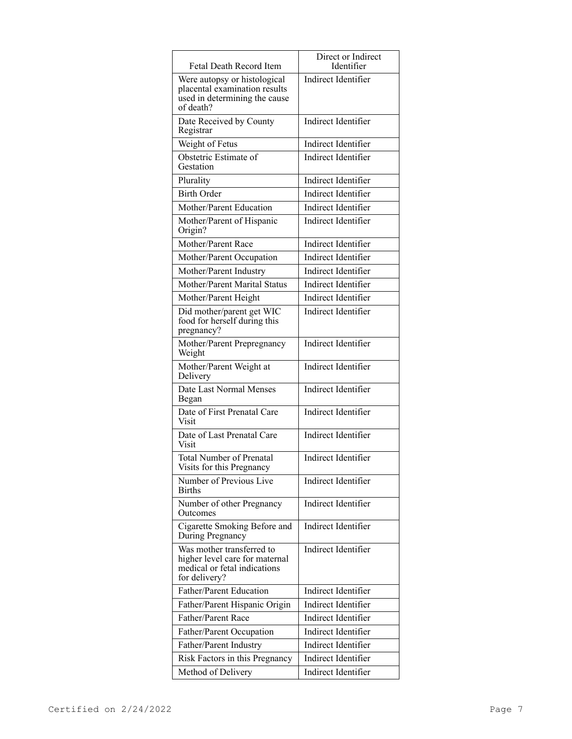| Fetal Death Record Item                                                                                      | Direct or Indirect<br>Identifier |
|--------------------------------------------------------------------------------------------------------------|----------------------------------|
| Were autopsy or histological<br>placental examination results<br>used in determining the cause<br>of death?  | Indirect Identifier              |
| Date Received by County<br>Registrar                                                                         | Indirect Identifier              |
| Weight of Fetus                                                                                              | Indirect Identifier              |
| Obstetric Estimate of<br>Gestation                                                                           | Indirect Identifier              |
| Plurality                                                                                                    | Indirect Identifier              |
| <b>Birth Order</b>                                                                                           | Indirect Identifier              |
| Mother/Parent Education                                                                                      | Indirect Identifier              |
| Mother/Parent of Hispanic<br>Origin?                                                                         | Indirect Identifier              |
| Mother/Parent Race                                                                                           | Indirect Identifier              |
| Mother/Parent Occupation                                                                                     | Indirect Identifier              |
| Mother/Parent Industry                                                                                       | Indirect Identifier              |
| Mother/Parent Marital Status                                                                                 | Indirect Identifier              |
| Mother/Parent Height                                                                                         | Indirect Identifier              |
| Did mother/parent get WIC<br>food for herself during this<br>pregnancy?                                      | Indirect Identifier              |
| Mother/Parent Prepregnancy<br>Weight                                                                         | Indirect Identifier              |
| Mother/Parent Weight at<br>Delivery                                                                          | Indirect Identifier              |
| Date Last Normal Menses<br>Began                                                                             | Indirect Identifier              |
| Date of First Prenatal Care<br>Visit                                                                         | Indirect Identifier              |
| Date of Last Prenatal Care<br>Visit                                                                          | Indirect Identifier              |
| <b>Total Number of Prenatal</b><br>Visits for this Pregnancy                                                 | Indirect Identifier              |
| Number of Previous Live<br><b>Births</b>                                                                     | Indirect Identifier              |
| Number of other Pregnancy<br>Outcomes                                                                        | Indirect Identifier              |
| Cigarette Smoking Before and<br>During Pregnancy                                                             | Indirect Identifier              |
| Was mother transferred to<br>higher level care for maternal<br>medical or fetal indications<br>for delivery? | Indirect Identifier              |
| Father/Parent Education                                                                                      | Indirect Identifier              |
| Father/Parent Hispanic Origin                                                                                | Indirect Identifier              |
| Father/Parent Race                                                                                           | Indirect Identifier              |
| Father/Parent Occupation                                                                                     | Indirect Identifier              |
| Father/Parent Industry                                                                                       | Indirect Identifier              |
| Risk Factors in this Pregnancy                                                                               | Indirect Identifier              |
| Method of Delivery                                                                                           | Indirect Identifier              |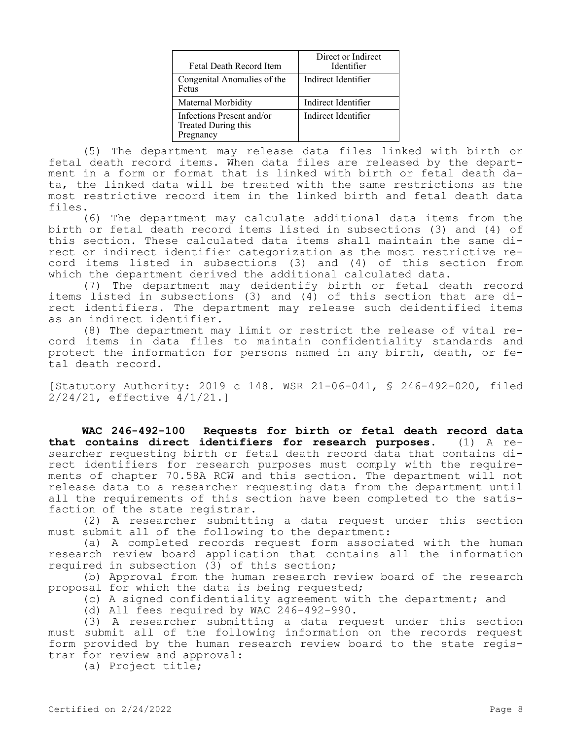| Fetal Death Record Item                                       | Direct or Indirect<br>Identifier |
|---------------------------------------------------------------|----------------------------------|
| Congenital Anomalies of the<br>Fetus                          | Indirect Identifier              |
| Maternal Morbidity                                            | Indirect Identifier              |
| Infections Present and/or<br>Treated During this<br>Pregnancy | Indirect Identifier              |

(5) The department may release data files linked with birth or fetal death record items. When data files are released by the department in a form or format that is linked with birth or fetal death data, the linked data will be treated with the same restrictions as the most restrictive record item in the linked birth and fetal death data files.

(6) The department may calculate additional data items from the birth or fetal death record items listed in subsections (3) and (4) of this section. These calculated data items shall maintain the same direct or indirect identifier categorization as the most restrictive record items listed in subsections (3) and (4) of this section from which the department derived the additional calculated data.

(7) The department may deidentify birth or fetal death record items listed in subsections (3) and (4) of this section that are direct identifiers. The department may release such deidentified items as an indirect identifier.

(8) The department may limit or restrict the release of vital record items in data files to maintain confidentiality standards and protect the information for persons named in any birth, death, or fetal death record.

[Statutory Authority: 2019 c 148. WSR 21-06-041, § 246-492-020, filed 2/24/21, effective 4/1/21.]

**WAC 246-492-100 Requests for birth or fetal death record data that contains direct identifiers for research purposes.** (1) A researcher requesting birth or fetal death record data that contains direct identifiers for research purposes must comply with the requirements of chapter 70.58A RCW and this section. The department will not release data to a researcher requesting data from the department until all the requirements of this section have been completed to the satisfaction of the state registrar.

(2) A researcher submitting a data request under this section must submit all of the following to the department:

(a) A completed records request form associated with the human research review board application that contains all the information required in subsection (3) of this section;

(b) Approval from the human research review board of the research proposal for which the data is being requested;

(c) A signed confidentiality agreement with the department; and

(d) All fees required by WAC 246-492-990.

(3) A researcher submitting a data request under this section must submit all of the following information on the records request form provided by the human research review board to the state registrar for review and approval:

(a) Project title;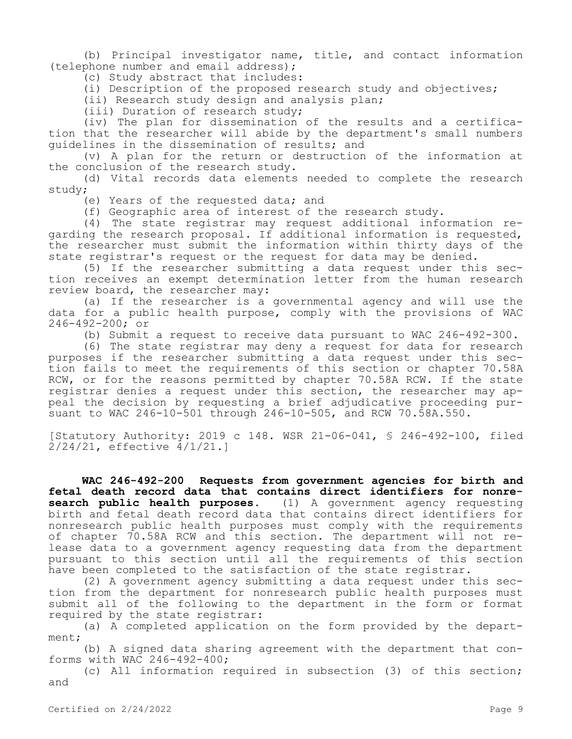(b) Principal investigator name, title, and contact information (telephone number and email address);

(c) Study abstract that includes:

(i) Description of the proposed research study and objectives;

(ii) Research study design and analysis plan;

(iii) Duration of research study;

(iv) The plan for dissemination of the results and a certification that the researcher will abide by the department's small numbers guidelines in the dissemination of results; and

(v) A plan for the return or destruction of the information at the conclusion of the research study.

(d) Vital records data elements needed to complete the research study;

(e) Years of the requested data; and

(f) Geographic area of interest of the research study.

(4) The state registrar may request additional information regarding the research proposal. If additional information is requested, the researcher must submit the information within thirty days of the state registrar's request or the request for data may be denied.

(5) If the researcher submitting a data request under this section receives an exempt determination letter from the human research review board, the researcher may:

(a) If the researcher is a governmental agency and will use the data for a public health purpose, comply with the provisions of WAC 246-492-200; or

(b) Submit a request to receive data pursuant to WAC 246-492-300.

(6) The state registrar may deny a request for data for research purposes if the researcher submitting a data request under this section fails to meet the requirements of this section or chapter 70.58A RCW, or for the reasons permitted by chapter 70.58A RCW. If the state registrar denies a request under this section, the researcher may appeal the decision by requesting a brief adjudicative proceeding pursuant to WAC 246-10-501 through 246-10-505, and RCW 70.58A.550.

[Statutory Authority: 2019 c 148. WSR 21-06-041, § 246-492-100, filed 2/24/21, effective 4/1/21.]

**WAC 246-492-200 Requests from government agencies for birth and fetal death record data that contains direct identifiers for nonre-**<br>**search public health purposes.** (1) A government agency requesting **search public health purposes.** (1) A government agency requesting birth and fetal death record data that contains direct identifiers for nonresearch public health purposes must comply with the requirements of chapter 70.58A RCW and this section. The department will not release data to a government agency requesting data from the department pursuant to this section until all the requirements of this section have been completed to the satisfaction of the state registrar.

(2) A government agency submitting a data request under this section from the department for nonresearch public health purposes must submit all of the following to the department in the form or format required by the state registrar:

(a) A completed application on the form provided by the department;

(b) A signed data sharing agreement with the department that conforms with WAC 246-492-400;

(c) All information required in subsection (3) of this section; and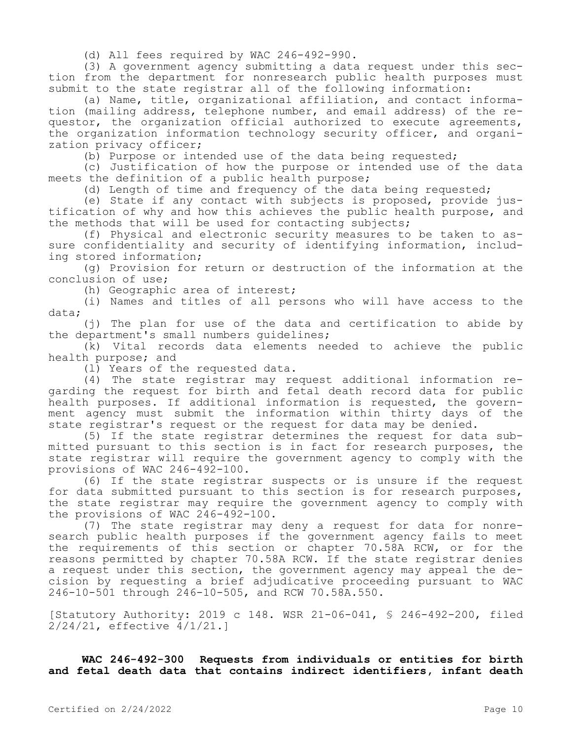(d) All fees required by WAC 246-492-990.

(3) A government agency submitting a data request under this section from the department for nonresearch public health purposes must submit to the state registrar all of the following information:

(a) Name, title, organizational affiliation, and contact information (mailing address, telephone number, and email address) of the requestor, the organization official authorized to execute agreements, the organization information technology security officer, and organization privacy officer;

(b) Purpose or intended use of the data being requested;

(c) Justification of how the purpose or intended use of the data meets the definition of a public health purpose;

(d) Length of time and frequency of the data being requested;

(e) State if any contact with subjects is proposed, provide justification of why and how this achieves the public health purpose, and the methods that will be used for contacting subjects;

(f) Physical and electronic security measures to be taken to assure confidentiality and security of identifying information, including stored information;

(g) Provision for return or destruction of the information at the conclusion of use;

(h) Geographic area of interest;

(i) Names and titles of all persons who will have access to the data;

(j) The plan for use of the data and certification to abide by the department's small numbers guidelines;

(k) Vital records data elements needed to achieve the public health purpose; and

(l) Years of the requested data.

(4) The state registrar may request additional information regarding the request for birth and fetal death record data for public health purposes. If additional information is requested, the government agency must submit the information within thirty days of the state registrar's request or the request for data may be denied.

(5) If the state registrar determines the request for data submitted pursuant to this section is in fact for research purposes, the state registrar will require the government agency to comply with the provisions of WAC 246-492-100.

(6) If the state registrar suspects or is unsure if the request for data submitted pursuant to this section is for research purposes, the state registrar may require the government agency to comply with the provisions of WAC 246-492-100.

(7) The state registrar may deny a request for data for nonresearch public health purposes if the government agency fails to meet the requirements of this section or chapter 70.58A RCW, or for the reasons permitted by chapter 70.58A RCW. If the state registrar denies a request under this section, the government agency may appeal the decision by requesting a brief adjudicative proceeding pursuant to WAC 246-10-501 through 246-10-505, and RCW 70.58A.550.

[Statutory Authority: 2019 c 148. WSR 21-06-041, § 246-492-200, filed 2/24/21, effective 4/1/21.]

**WAC 246-492-300 Requests from individuals or entities for birth and fetal death data that contains indirect identifiers, infant death**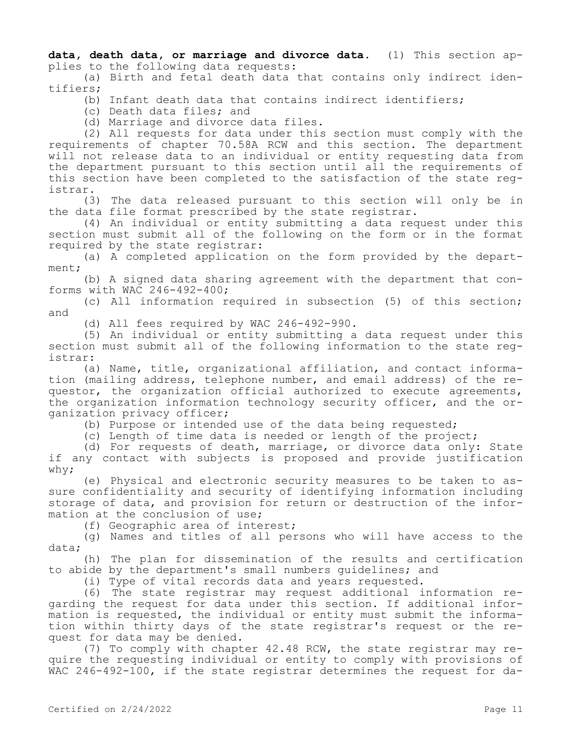**data, death data, or marriage and divorce data.** (1) This section applies to the following data requests:

(a) Birth and fetal death data that contains only indirect identifiers;

(b) Infant death data that contains indirect identifiers;

(c) Death data files; and

(d) Marriage and divorce data files.

(2) All requests for data under this section must comply with the requirements of chapter 70.58A RCW and this section. The department will not release data to an individual or entity requesting data from the department pursuant to this section until all the requirements of this section have been completed to the satisfaction of the state registrar.

(3) The data released pursuant to this section will only be in the data file format prescribed by the state registrar.

(4) An individual or entity submitting a data request under this section must submit all of the following on the form or in the format required by the state registrar:

(a) A completed application on the form provided by the department;

(b) A signed data sharing agreement with the department that conforms with WAC 246-492-400;

(c) All information required in subsection (5) of this section; and

(d) All fees required by WAC 246-492-990.

(5) An individual or entity submitting a data request under this section must submit all of the following information to the state registrar:

(a) Name, title, organizational affiliation, and contact information (mailing address, telephone number, and email address) of the requestor, the organization official authorized to execute agreements, the organization information technology security officer, and the organization privacy officer;

(b) Purpose or intended use of the data being requested;

(c) Length of time data is needed or length of the project;

(d) For requests of death, marriage, or divorce data only: State if any contact with subjects is proposed and provide justification why;

(e) Physical and electronic security measures to be taken to assure confidentiality and security of identifying information including storage of data, and provision for return or destruction of the information at the conclusion of use;

(f) Geographic area of interest;

(g) Names and titles of all persons who will have access to the data;

(h) The plan for dissemination of the results and certification to abide by the department's small numbers guidelines; and

(i) Type of vital records data and years requested.

(6) The state registrar may request additional information regarding the request for data under this section. If additional information is requested, the individual or entity must submit the information within thirty days of the state registrar's request or the request for data may be denied.

(7) To comply with chapter 42.48 RCW, the state registrar may require the requesting individual or entity to comply with provisions of WAC 246-492-100, if the state registrar determines the request for da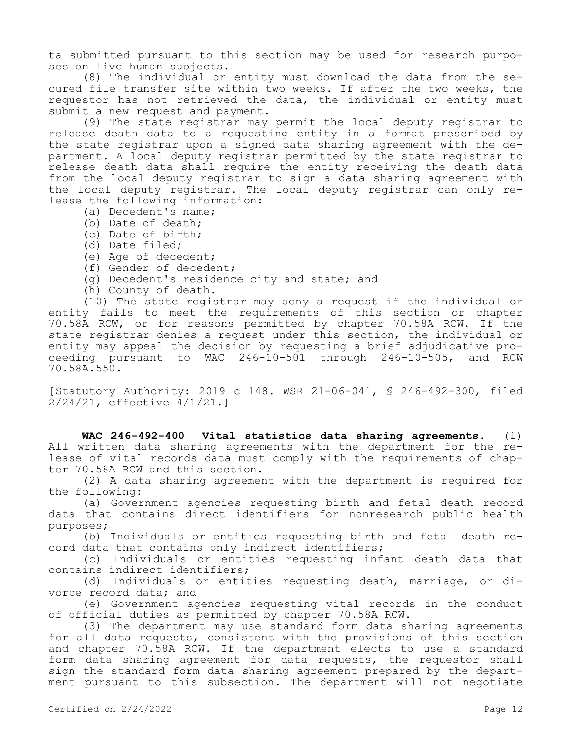ta submitted pursuant to this section may be used for research purposes on live human subjects.

(8) The individual or entity must download the data from the secured file transfer site within two weeks. If after the two weeks, the requestor has not retrieved the data, the individual or entity must submit a new request and payment.

(9) The state registrar may permit the local deputy registrar to release death data to a requesting entity in a format prescribed by the state registrar upon a signed data sharing agreement with the department. A local deputy registrar permitted by the state registrar to release death data shall require the entity receiving the death data from the local deputy registrar to sign a data sharing agreement with the local deputy registrar. The local deputy registrar can only release the following information:

- (a) Decedent's name;
- (b) Date of death;
- (c) Date of birth;
- (d) Date filed;
- (e) Age of decedent;
- (f) Gender of decedent;
- (g) Decedent's residence city and state; and
- (h) County of death.

(10) The state registrar may deny a request if the individual or entity fails to meet the requirements of this section or chapter 70.58A RCW, or for reasons permitted by chapter 70.58A RCW. If the state registrar denies a request under this section, the individual or entity may appeal the decision by requesting a brief adjudicative proceeding pursuant to WAC 246-10-501 through 246-10-505, and RCW 70.58A.550.

[Statutory Authority: 2019 c 148. WSR 21-06-041, § 246-492-300, filed 2/24/21, effective 4/1/21.]

**WAC 246-492-400 Vital statistics data sharing agreements.** (1) All written data sharing agreements with the department for the release of vital records data must comply with the requirements of chapter 70.58A RCW and this section.

(2) A data sharing agreement with the department is required for the following:

(a) Government agencies requesting birth and fetal death record data that contains direct identifiers for nonresearch public health purposes;

(b) Individuals or entities requesting birth and fetal death record data that contains only indirect identifiers;

(c) Individuals or entities requesting infant death data that contains indirect identifiers;

(d) Individuals or entities requesting death, marriage, or divorce record data; and

(e) Government agencies requesting vital records in the conduct of official duties as permitted by chapter 70.58A RCW.

(3) The department may use standard form data sharing agreements for all data requests, consistent with the provisions of this section and chapter 70.58A RCW. If the department elects to use a standard form data sharing agreement for data requests, the requestor shall sign the standard form data sharing agreement prepared by the department pursuant to this subsection. The department will not negotiate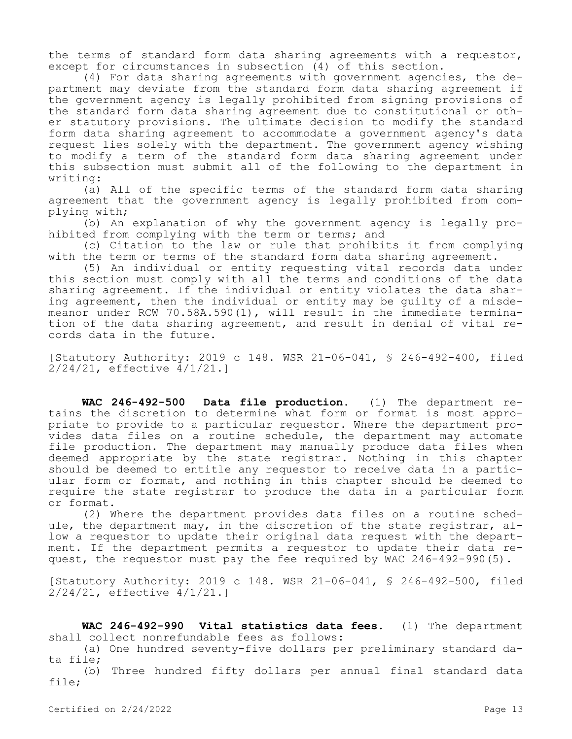the terms of standard form data sharing agreements with a requestor, except for circumstances in subsection (4) of this section.

(4) For data sharing agreements with government agencies, the department may deviate from the standard form data sharing agreement if the government agency is legally prohibited from signing provisions of the standard form data sharing agreement due to constitutional or other statutory provisions. The ultimate decision to modify the standard form data sharing agreement to accommodate a government agency's data request lies solely with the department. The government agency wishing to modify a term of the standard form data sharing agreement under this subsection must submit all of the following to the department in writing:

(a) All of the specific terms of the standard form data sharing agreement that the government agency is legally prohibited from complying with;

(b) An explanation of why the government agency is legally prohibited from complying with the term or terms; and

(c) Citation to the law or rule that prohibits it from complying with the term or terms of the standard form data sharing agreement.

(5) An individual or entity requesting vital records data under this section must comply with all the terms and conditions of the data sharing agreement. If the individual or entity violates the data sharing agreement, then the individual or entity may be guilty of a misdemeanor under RCW 70.58A.590(1), will result in the immediate termination of the data sharing agreement, and result in denial of vital records data in the future.

[Statutory Authority: 2019 c 148. WSR 21-06-041, § 246-492-400, filed 2/24/21, effective 4/1/21.]

**WAC 246-492-500 Data file production.** (1) The department retains the discretion to determine what form or format is most appropriate to provide to a particular requestor. Where the department provides data files on a routine schedule, the department may automate file production. The department may manually produce data files when deemed appropriate by the state registrar. Nothing in this chapter should be deemed to entitle any requestor to receive data in a particular form or format, and nothing in this chapter should be deemed to require the state registrar to produce the data in a particular form or format.

(2) Where the department provides data files on a routine schedule, the department may, in the discretion of the state registrar, allow a requestor to update their original data request with the department. If the department permits a requestor to update their data request, the requestor must pay the fee required by WAC 246-492-990(5).

[Statutory Authority: 2019 c 148. WSR 21-06-041, § 246-492-500, filed 2/24/21, effective 4/1/21.]

**WAC 246-492-990 Vital statistics data fees.** (1) The department shall collect nonrefundable fees as follows:

(a) One hundred seventy-five dollars per preliminary standard data file;

(b) Three hundred fifty dollars per annual final standard data file;